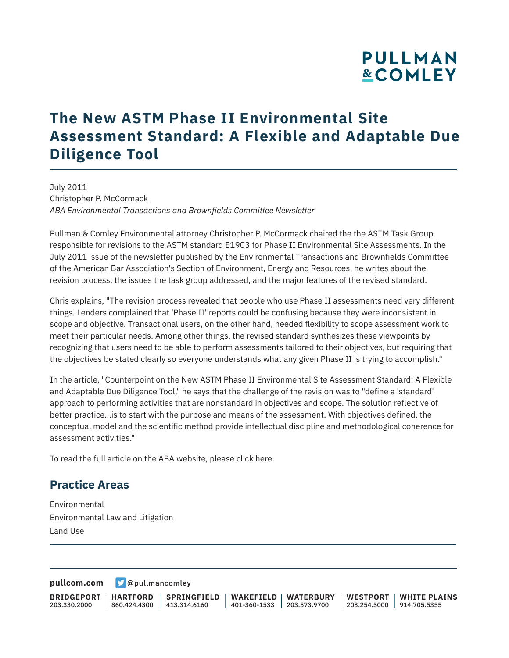# **PULLMAN &COMLEY**

## **The New ASTM Phase II Environmental Site Assessment Standard: A Flexible and Adaptable Due Diligence Tool**

July 2011 Christopher P. McCormack *ABA Environmental Transactions and Brownfields Committee Newsletter*

Pullman & Comley Environmental attorney Christopher P. McCormack chaired the the ASTM Task Group responsible for revisions to the ASTM standard E1903 for Phase II Environmental Site Assessments. In the July 2011 issue of the newsletter published by the Environmental Transactions and Brownfields Committee of the American Bar Association's Section of Environment, Energy and Resources, he writes about the revision process, the issues the task group addressed, and the major features of the revised standard.

Chris explains, "The revision process revealed that people who use Phase II assessments need very different things. Lenders complained that 'Phase II' reports could be confusing because they were inconsistent in scope and objective. Transactional users, on the other hand, needed flexibility to scope assessment work to meet their particular needs. Among other things, the revised standard synthesizes these viewpoints by recognizing that users need to be able to perform assessments tailored to their objectives, but requiring that the objectives be stated clearly so everyone understands what any given Phase II is trying to accomplish."

In the article, "Counterpoint on the New ASTM Phase II Environmental Site Assessment Standard: A Flexible and Adaptable Due Diligence Tool," he says that the challenge of the revision was to "define a 'standard' approach to performing activities that are nonstandard in objectives and scope. The solution reflective of better practice...is to start with the purpose and means of the assessment. With objectives defined, the conceptual model and the scientific method provide intellectual discipline and methodological coherence for assessment activities."

To read the full article on the ABA website, please click here.

#### **Practice Areas**

Environmental Environmental Law and Litigation Land Use

**[pullcom.com](https://www.pullcom.com) g** [@pullmancomley](https://twitter.com/PullmanComley)

**BRIDGEPORT HARTFORD** 203.330.2000

l

860.424.4300 413.314.6160

**SPRINGFIELD**

**WAKEFIELD WATERBURY** 401-360-1533 203.573.9700

**WESTPORT WHITE PLAINS** 203.254.5000 914.705.5355